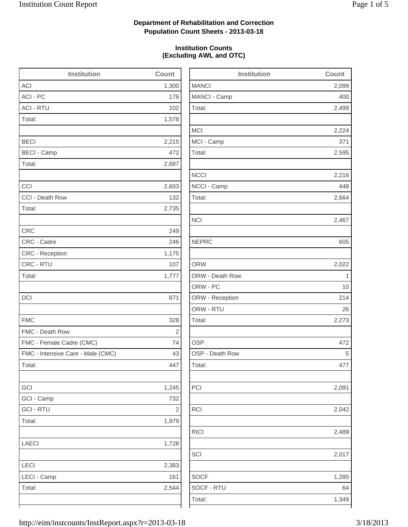2,499

2,224

2,273

2,042

2,489

2,017

1,285

## **Department of Rehabilitation and Correction Population Count Sheets - 2013-03-18**

### **Institution Counts (Excluding AWL and OTC)**

| <b>Institution</b>                | Count                   | <b>Institution</b> | Count       |
|-----------------------------------|-------------------------|--------------------|-------------|
| <b>ACI</b>                        | 1,300                   | <b>MANCI</b>       | 2,099       |
| ACI - PC                          | 176                     | MANCI - Camp       | 400         |
| <b>ACI - RTU</b>                  | 102                     | Total:             | 2,499       |
| Total:                            | 1,578                   |                    |             |
|                                   |                         | <b>MCI</b>         | 2,224       |
| <b>BECI</b>                       | 2,215                   | MCI - Camp         | 371         |
| <b>BECI - Camp</b>                | 472                     | Total:             | 2,595       |
| Total:                            | 2,687                   |                    |             |
|                                   |                         | <b>NCCI</b>        | 2,216       |
| CCI                               | 2,603                   | NCCI - Camp        | 448         |
| CCI - Death Row                   | 132                     | Total:             | 2,664       |
| Total:                            | 2,735                   |                    |             |
|                                   |                         | <b>NCI</b>         | 2,467       |
| <b>CRC</b>                        | 249                     |                    |             |
| CRC - Cadre                       | 246                     | <b>NEPRC</b>       | 605         |
| <b>CRC</b> - Reception            | 1,175                   |                    |             |
| CRC - RTU                         | 107                     | <b>ORW</b>         | 2,022       |
| Total:                            | 1,777                   | ORW - Death Row    | $\mathbf 1$ |
|                                   |                         | ORW - PC           | 10          |
| DCI                               | 871                     | ORW - Reception    | 214         |
|                                   |                         | ORW - RTU          | 26          |
| <b>FMC</b>                        | 328                     | Total:             | 2,273       |
| FMC - Death Row                   | $\sqrt{2}$              |                    |             |
| FMC - Female Cadre (CMC)          | 74                      | <b>OSP</b>         | 472         |
| FMC - Intensive Care - Male (CMC) | 43                      | OSP - Death Row    | 5           |
| Total:                            | 447                     | Total:             | 477         |
| GCI                               | 1,245                   | PCI                | 2,091       |
| GCI - Camp                        | 732                     |                    |             |
| <b>GCI - RTU</b>                  | $\overline{\mathbf{c}}$ | RCI                | 2,042       |
| Total:                            | 1,979                   |                    |             |
|                                   |                         | <b>RICI</b>        | 2,489       |
| <b>LAECI</b>                      | 1,728                   |                    |             |
|                                   |                         | SCI                | 2,017       |
| LECI                              | 2,383                   |                    |             |
| LECI - Camp                       | 161                     | <b>SOCF</b>        | 1,285       |
| Total:                            | 2,544                   | SOCF - RTU         | 64          |
|                                   |                         | Total:             | 1,349       |
|                                   |                         |                    |             |

http://eim/instcounts/InstReport.aspx?r=2013-03-18 3/18/2013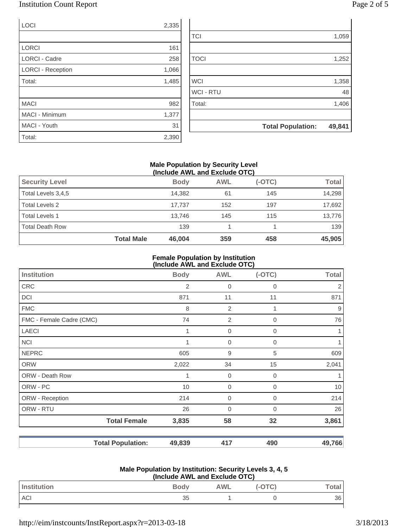## Institution Count Report Page 2 of 5

| LOCI                     | 2,335 |                |                          |        |
|--------------------------|-------|----------------|--------------------------|--------|
|                          |       | <b>TCI</b>     |                          | 1,059  |
| <b>LORCI</b>             | 161   |                |                          |        |
| <b>LORCI - Cadre</b>     | 258   | <b>TOCI</b>    |                          | 1,252  |
| <b>LORCI - Reception</b> | 1,066 |                |                          |        |
| Total:                   | 1,485 | <b>WCI</b>     |                          | 1,358  |
|                          |       | <b>WCI-RTU</b> |                          | 48     |
| <b>MACI</b>              | 982   | Total:         |                          | 1,406  |
| MACI - Minimum           | 1,377 |                |                          |        |
| MACI - Youth             | 31    |                | <b>Total Population:</b> | 49,841 |
| Total:                   | 2,390 |                |                          |        |

### **Male Population by Security Level (Include AWL and Exclude OTC)**

| <b>Total Male</b>      | 46,004      | 359        | 458      | 45,905       |
|------------------------|-------------|------------|----------|--------------|
| <b>Total Death Row</b> | 139         |            |          | 139          |
| <b>Total Levels 1</b>  | 13.746      | 145        | 115      | 13,776       |
| <b>Total Levels 2</b>  | 17.737      | 152        | 197      | 17,692       |
| Total Levels 3,4,5     | 14,382      | 61         | 145      | 14,298       |
| <b>Security Level</b>  | <b>Body</b> | <b>AWL</b> | $(-OTC)$ | <b>Total</b> |
|                        |             |            |          |              |

#### **Female Population by Institution (Include AWL and Exclude OTC)**

|                          |                          | $(110100C)$ AVE and Exclude $O(O)$ |                |              |              |
|--------------------------|--------------------------|------------------------------------|----------------|--------------|--------------|
| <b>Institution</b>       |                          | <b>Body</b>                        | <b>AWL</b>     | $(-OTC)$     | <b>Total</b> |
| <b>CRC</b>               |                          | 2                                  | 0              | 0            | 2            |
| DCI                      |                          | 871                                | 11             | 11           | 871          |
| <b>FMC</b>               |                          | 8                                  | $\overline{2}$ |              | 9            |
| FMC - Female Cadre (CMC) |                          | 74                                 | $\overline{2}$ | $\mathbf 0$  | 76           |
| <b>LAECI</b>             |                          | 1                                  | $\mathbf 0$    | $\Omega$     |              |
| <b>NCI</b>               |                          |                                    | $\mathbf 0$    | 0            |              |
| <b>NEPRC</b>             |                          | 605                                | $9\,$          | 5            | 609          |
| <b>ORW</b>               |                          | 2,022                              | 34             | 15           | 2,041        |
| ORW - Death Row          |                          |                                    | $\mathbf 0$    | 0            |              |
| ORW - PC                 |                          | 10                                 | $\mathbf 0$    | $\mathbf{0}$ | 10           |
| ORW - Reception          |                          | 214                                | $\mathbf 0$    | $\Omega$     | 214          |
| ORW - RTU                |                          | 26                                 | $\mathbf 0$    | 0            | 26           |
|                          | <b>Total Female</b>      | 3,835                              | 58             | 32           | 3,861        |
|                          | <b>Total Population:</b> | 49,839                             | 417            | 490          | 49,766       |

#### **Male Population by Institution: Security Levels 3, 4, 5 (Include AWL and Exclude OTC)**

| Include AWL and Lacidue OTO |             |            |        |       |
|-----------------------------|-------------|------------|--------|-------|
| Institution                 | <b>Body</b> | <b>AWL</b> | (-OTC) | Total |
| <b>ACI</b>                  | 35          |            |        | 36    |
|                             |             |            |        |       |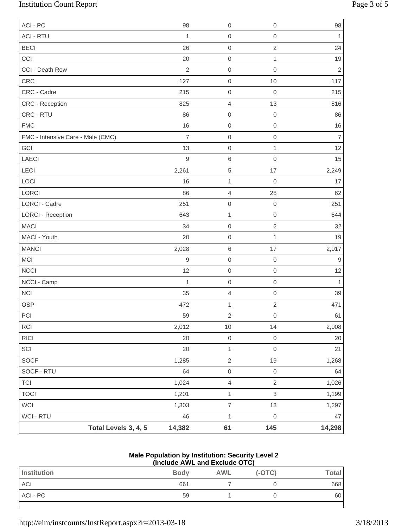# Institution Count Report Page 3 of 5

| ACI - PC                          |                      | 98             | $\mathbf 0$              | $\mathbf 0$         | 98             |
|-----------------------------------|----------------------|----------------|--------------------------|---------------------|----------------|
| <b>ACI - RTU</b>                  |                      | $\mathbf{1}$   | $\,0\,$                  | $\mathsf{O}\xspace$ | $\mathbf{1}$   |
| <b>BECI</b>                       |                      | 26             | $\mbox{O}$               | $\sqrt{2}$          | 24             |
| CCI                               |                      | 20             | $\boldsymbol{0}$         | $\mathbf{1}$        | $19$           |
| CCI - Death Row                   |                      | $\sqrt{2}$     | $\boldsymbol{0}$         | $\mathbf 0$         | $\overline{2}$ |
| CRC                               |                      | 127            | $\mathbf 0$              | 10                  | 117            |
| CRC - Cadre                       |                      | 215            | $\boldsymbol{0}$         | $\mathbf 0$         | 215            |
| CRC - Reception                   |                      | 825            | $\overline{4}$           | 13                  | 816            |
| CRC - RTU                         |                      | 86             | $\boldsymbol{0}$         | $\boldsymbol{0}$    | 86             |
| <b>FMC</b>                        |                      | 16             | $\boldsymbol{0}$         | $\mathbf 0$         | $16$           |
| FMC - Intensive Care - Male (CMC) |                      | $\overline{7}$ | $\mathbf 0$              | $\mathbf 0$         | $\overline{7}$ |
| GCI                               |                      | 13             | $\,0\,$                  | $\mathbf{1}$        | 12             |
| LAECI                             |                      | $\mathsf g$    | $\,$ 6 $\,$              | $\mathbf 0$         | 15             |
| LECI                              |                      | 2,261          | $\sqrt{5}$               | 17                  | 2,249          |
| LOCI                              |                      | 16             | $\mathbf{1}$             | $\boldsymbol{0}$    | 17             |
| <b>LORCI</b>                      |                      | 86             | $\sqrt{4}$               | 28                  | 62             |
| <b>LORCI - Cadre</b>              |                      | 251            | $\mathbf 0$              | $\mathbf 0$         | 251            |
| <b>LORCI - Reception</b>          |                      | 643            | $\mathbf{1}$             | $\mathbf 0$         | 644            |
| <b>MACI</b>                       |                      | 34             | $\boldsymbol{0}$         | $\sqrt{2}$          | 32             |
| MACI - Youth                      |                      | 20             | $\boldsymbol{0}$         | $\mathbf{1}$        | 19             |
| <b>MANCI</b>                      |                      | 2,028          | $\,6$                    | 17                  | 2,017          |
| <b>MCI</b>                        |                      | $\hbox{9}$     | $\mathbf 0$              | $\mathbf 0$         | $\mathsf 9$    |
| <b>NCCI</b>                       |                      | 12             | $\mbox{O}$               | $\mathbf 0$         | 12             |
| NCCI - Camp                       |                      | 1              | $\mathbf 0$              | $\mathbf 0$         | $\overline{1}$ |
| <b>NCI</b>                        |                      | 35             | $\sqrt{4}$               | $\mathbf 0$         | 39             |
| <b>OSP</b>                        |                      | 472            | 1                        | $\mathbf 2$         | 471            |
| $\sf{PCI}$                        |                      | 59             | 2                        | $\boldsymbol{0}$    | 61             |
| RCI                               |                      | 2,012          | 10                       | 14                  | 2,008          |
| RICI                              |                      | 20             | $\mbox{O}$               | $\,0\,$             | 20             |
| SCI                               |                      | 20             | $\mathbf{1}$             | $\mathbf 0$         | 21             |
| SOCF                              |                      | 1,285          | $\sqrt{2}$               | 19                  | 1,268          |
| SOCF - RTU                        |                      | 64             | $\mathsf{O}\xspace$      | $\,0\,$             | 64             |
| <b>TCI</b>                        |                      | 1,024          | $\overline{4}$           | $\overline{2}$      | 1,026          |
| <b>TOCI</b>                       |                      | 1,201          | $\mathbf{1}$             | $\mathsf 3$         | 1,199          |
| WCI                               |                      | 1,303          | $\overline{\mathcal{I}}$ | 13                  | 1,297          |
| WCI - RTU                         |                      | 46             | $\mathbf{1}$             | $\mathbf 0$         | 47             |
|                                   | Total Levels 3, 4, 5 | 14,382         | 61                       | 145                 | 14,298         |

### **Male Population by Institution: Security Level 2 (Include AWL and Exclude OTC)**

| Institution | <b>Body</b> | <b>AWL</b> | $(-OTC)$ | <b>Total</b> |  |
|-------------|-------------|------------|----------|--------------|--|
| ACI         | 661         |            |          | 668          |  |
| ACI - PC    | 59          |            |          | 60           |  |
|             |             |            |          |              |  |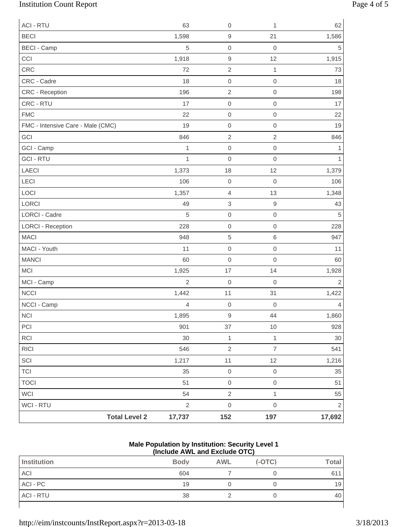# Institution Count Report Page 4 of 5

| <b>ACI - RTU</b>                  | 63             | $\mathbf 0$         | 1                   | 62             |
|-----------------------------------|----------------|---------------------|---------------------|----------------|
| <b>BECI</b>                       | 1,598          | $\hbox{9}$          | 21                  | 1,586          |
| <b>BECI - Camp</b>                | 5              | $\mathbf 0$         | $\mathbf 0$         | 5              |
| CCI                               | 1,918          | $\boldsymbol{9}$    | 12                  | 1,915          |
| CRC                               | 72             | $\sqrt{2}$          | $\mathbf{1}$        | 73             |
| CRC - Cadre                       | 18             | $\mbox{O}$          | $\mathbf 0$         | 18             |
| CRC - Reception                   | 196            | $\sqrt{2}$          | $\,0\,$             | 198            |
| CRC - RTU                         | 17             | $\mathbf 0$         | $\mathbf 0$         | 17             |
| <b>FMC</b>                        | 22             | $\mathbf 0$         | $\,0\,$             | 22             |
| FMC - Intensive Care - Male (CMC) | 19             | $\mathbf 0$         | $\mathbf 0$         | 19             |
| GCI                               | 846            | $\overline{2}$      | $\overline{c}$      | 846            |
| GCI - Camp                        | $\mathbf 1$    | $\mathbf 0$         | $\,0\,$             | 1              |
| <b>GCI - RTU</b>                  | $\mathbf{1}$   | $\mathbf 0$         | $\mathbf 0$         | 1              |
| LAECI                             | 1,373          | 18                  | 12                  | 1,379          |
| LECI                              | 106            | $\mathbf 0$         | $\mathbf 0$         | 106            |
| LOCI                              | 1,357          | $\sqrt{4}$          | 13                  | 1,348          |
| LORCI                             | 49             | $\,$ 3 $\,$         | $\boldsymbol{9}$    | 43             |
| LORCI - Cadre                     | 5              | $\mathbf 0$         | $\mathbf 0$         | 5              |
| <b>LORCI - Reception</b>          | 228            | $\mathbf 0$         | $\,0\,$             | 228            |
| <b>MACI</b>                       | 948            | $\sqrt{5}$          | 6                   | 947            |
| MACI - Youth                      | 11             | $\mbox{O}$          | $\mbox{O}$          | 11             |
| <b>MANCI</b>                      | 60             | $\mathbf 0$         | $\mathbf 0$         | 60             |
| <b>MCI</b>                        | 1,925          | 17                  | 14                  | 1,928          |
| MCI - Camp                        | $\overline{2}$ | $\mathbf 0$         | $\mathbf 0$         | $\overline{2}$ |
| <b>NCCI</b>                       | 1,442          | 11                  | 31                  | 1,422          |
| NCCI - Camp                       | 4              | $\mbox{O}$          | $\boldsymbol{0}$    | 4              |
| <b>NCI</b>                        | 1,895          | $\mathsf g$         | 44                  | 1,860          |
| PCI                               | 901            | $37\,$              | $10$                | 928            |
| RCI                               | 30             | $\mathbf{1}$        | $\mathbf{1}$        | 30             |
| RICI                              | 546            | $\sqrt{2}$          | $\overline{7}$      | 541            |
| SCI                               | 1,217          | $11$                | 12                  | 1,216          |
| <b>TCI</b>                        | 35             | $\mathsf{O}\xspace$ | $\mbox{O}$          | 35             |
| <b>TOCI</b>                       | 51             | $\mathsf{O}\xspace$ | $\mathsf{O}\xspace$ | 51             |
| WCI                               | 54             | $\sqrt{2}$          | $\mathbf{1}$        | 55             |
| WCI - RTU                         | $\sqrt{2}$     | $\mathsf{O}\xspace$ | $\,0\,$             | $\sqrt{2}$     |
| <b>Total Level 2</b>              | 17,737         | 152                 | 197                 | 17,692         |

#### **Male Population by Institution: Security Level 1 (Include AWL and Exclude OTC)**

| Institution      | <b>Body</b> | <b>AWL</b> | $(-OTC)$ | <b>Total</b> |
|------------------|-------------|------------|----------|--------------|
| <b>ACI</b>       | 604         |            |          | 611          |
| ACI - PC         | 19          |            |          | 19           |
| <b>ACI - RTU</b> | 38          |            |          | 40           |
|                  |             |            |          |              |

http://eim/instcounts/InstReport.aspx?r=2013-03-18 3/18/2013